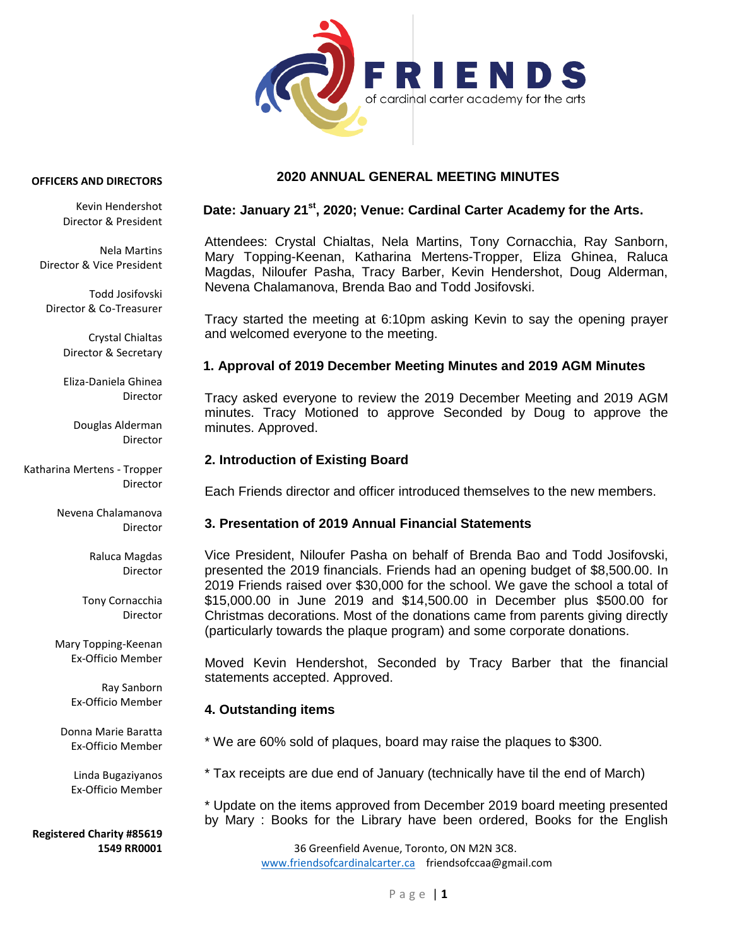

#### **OFFICERS AND DIRECTORS**

Kevin Hendershot Director & President

Nela Martins Director & Vice President

Todd Josifovski Director & Co-Treasurer

> Crystal Chialtas Director & Secretary

> Eliza-Daniela Ghinea Director

Douglas Alderman Director

Katharina Mertens - Tropper Director

> Nevena Chalamanova Director

> > Raluca Magdas Director

Tony Cornacchia Director

Mary Topping-Keenan Ex-Officio Member

> Ray Sanborn Ex-Officio Member

Donna Marie Baratta Ex-Officio Member

Linda Bugaziyanos Ex-Officio Member

**Registered Charity #85619 1549 RR0001**

# **2020 ANNUAL GENERAL MEETING MINUTES**

# Date: January 21<sup>st</sup>, 2020; Venue: Cardinal Carter Academy for the Arts.

Attendees: Crystal Chialtas, Nela Martins, Tony Cornacchia, Ray Sanborn, Mary Topping-Keenan, Katharina Mertens-Tropper, Eliza Ghinea, Raluca Magdas, Niloufer Pasha, Tracy Barber, Kevin Hendershot, Doug Alderman, Nevena Chalamanova, Brenda Bao and Todd Josifovski.

Tracy started the meeting at 6:10pm asking Kevin to say the opening prayer and welcomed everyone to the meeting.

## **1. Approval of 2019 December Meeting Minutes and 2019 AGM Minutes**

Tracy asked everyone to review the 2019 December Meeting and 2019 AGM minutes. Tracy Motioned to approve Seconded by Doug to approve the minutes. Approved.

#### **2. Introduction of Existing Board**

Each Friends director and officer introduced themselves to the new members.

## **3. Presentation of 2019 Annual Financial Statements**

Vice President, Niloufer Pasha on behalf of Brenda Bao and Todd Josifovski, presented the 2019 financials. Friends had an opening budget of \$8,500.00. In 2019 Friends raised over \$30,000 for the school. We gave the school a total of \$15,000.00 in June 2019 and \$14,500.00 in December plus \$500.00 for Christmas decorations. Most of the donations came from parents giving directly (particularly towards the plaque program) and some corporate donations.

Moved Kevin Hendershot, Seconded by Tracy Barber that the financial statements accepted. Approved.

## **4. Outstanding items**

- \* We are 60% sold of plaques, board may raise the plaques to \$300.
- \* Tax receipts are due end of January (technically have til the end of March)

\* Update on the items approved from December 2019 board meeting presented by Mary : Books for the Library have been ordered, Books for the English

> 36 Greenfield Avenue, Toronto, ON M2N 3C8. [www.friendsofcardinalcarter.ca](http://www.friendsofcardinalcarter.ca/) friendsofccaa@gmail.com